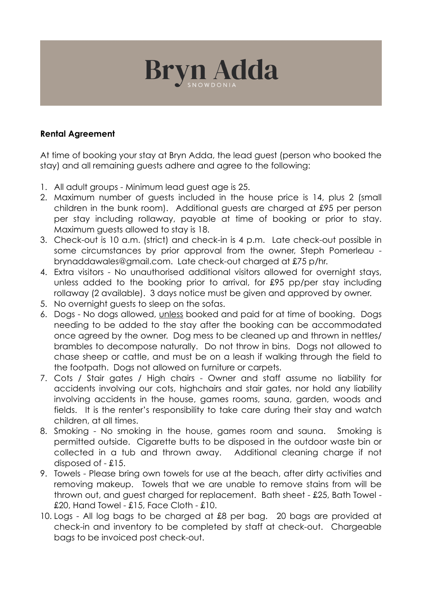

## **Rental Agreement**

At time of booking your stay at Bryn Adda, the lead guest (person who booked the stay) and all remaining guests adhere and agree to the following:

- 1. All adult groups Minimum lead guest age is 25.
- 2. Maximum number of guests included in the house price is 14, plus 2 (small children in the bunk room). Additional guests are charged at £95 per person per stay including rollaway, payable at time of booking or prior to stay. Maximum guests allowed to stay is 18.
- 3. Check-out is 10 a.m. (strict) and check-in is 4 p.m. Late check-out possible in some circumstances by prior approval from the owner, Steph Pomerleau brynaddawales@gmail.com. Late check-out charged at £75 p/hr.
- 4. Extra visitors No unauthorised additional visitors allowed for overnight stays, unless added to the booking prior to arrival, for £95 pp/per stay including rollaway (2 available). 3 days notice must be given and approved by owner.
- 5. No overnight guests to sleep on the sofas.
- 6. Dogs No dogs allowed, unless booked and paid for at time of booking. Dogs needing to be added to the stay after the booking can be accommodated once agreed by the owner. Dog mess to be cleaned up and thrown in nettles/ brambles to decompose naturally. Do not throw in bins. Dogs not allowed to chase sheep or cattle, and must be on a leash if walking through the field to the footpath. Dogs not allowed on furniture or carpets.
- 7. Cots / Stair gates / High chairs Owner and staff assume no liability for accidents involving our cots, highchairs and stair gates, nor hold any liability involving accidents in the house, games rooms, sauna, garden, woods and fields. It is the renter's responsibility to take care during their stay and watch children, at all times.
- 8. Smoking No smoking in the house, games room and sauna. Smoking is permitted outside. Cigarette butts to be disposed in the outdoor waste bin or collected in a tub and thrown away. Additional cleaning charge if not disposed of - £15.
- 9. Towels Please bring own towels for use at the beach, after dirty activities and removing makeup. Towels that we are unable to remove stains from will be thrown out, and guest charged for replacement. Bath sheet - £25, Bath Towel - £20, Hand Towel - £15, Face Cloth - £10.
- 10. Logs All log bags to be charged at £8 per bag. 20 bags are provided at check-in and inventory to be completed by staff at check-out. Chargeable bags to be invoiced post check-out.